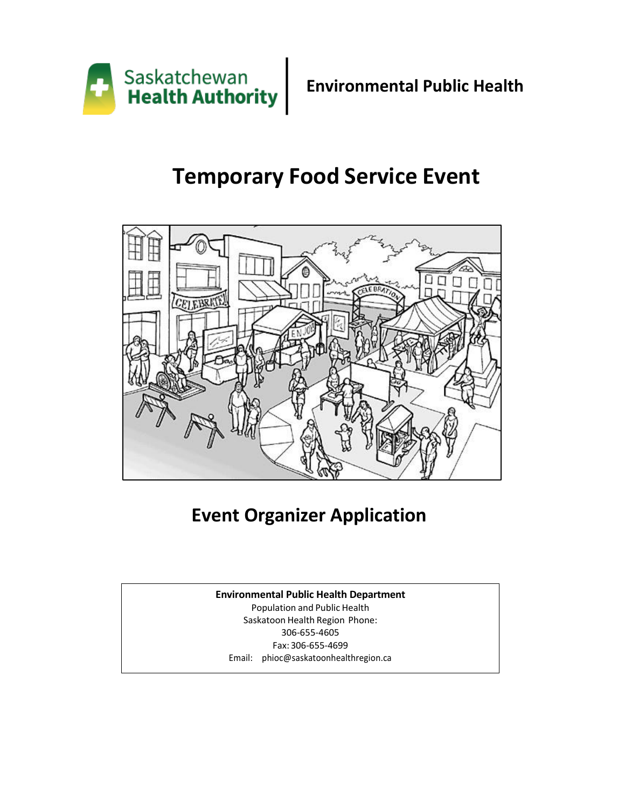

# **Temporary Food Service Event**



# **Event Organizer Application**

### **Environmental Public Health Department**

Population and Public Health Saskatoon Health Region Phone: 306-655-4605 Fax: 306-655-4699 Email: [phioc@saskatoonhealthregion.ca](mailto:phioc@saskatoonhealthregion.ca)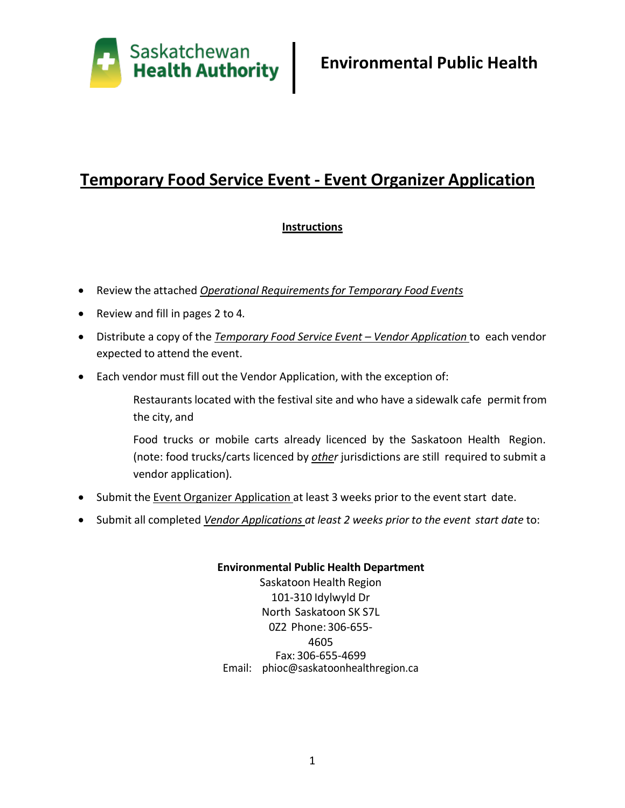

# **Instructions**

- Review the attached *Operational Requirementsfor Temporary Food Events*
- Review and fill in pages 2 to 4*.*
- Distribute a copy of the *Temporary Food Service Event – Vendor Application* to each vendor expected to attend the event.
- Each vendor must fill out the Vendor Application, with the exception of:
	- Restaurants located with the festival site and who have a sidewalk cafe permit from the city, and
	- Food trucks or mobile carts already licenced by the Saskatoon Health Region. (note: food trucks/carts licenced by *other* jurisdictions are still required to submit a vendor application).
- Submit the Event Organizer Application at least 3 weeks prior to the event start date.
- Submit all completed *Vendor Applications at least 2 weeks prior to the event start date* to:

### **Environmental Public Health Department** Saskatoon Health Region 101-310 Idylwyld Dr North Saskatoon SK S7L 0Z2 Phone:306-655- 4605 Fax: 306-655-4699 Email: [phioc@saskatoonhealthregion.ca](mailto:phioc@saskatoonhealthregion.ca)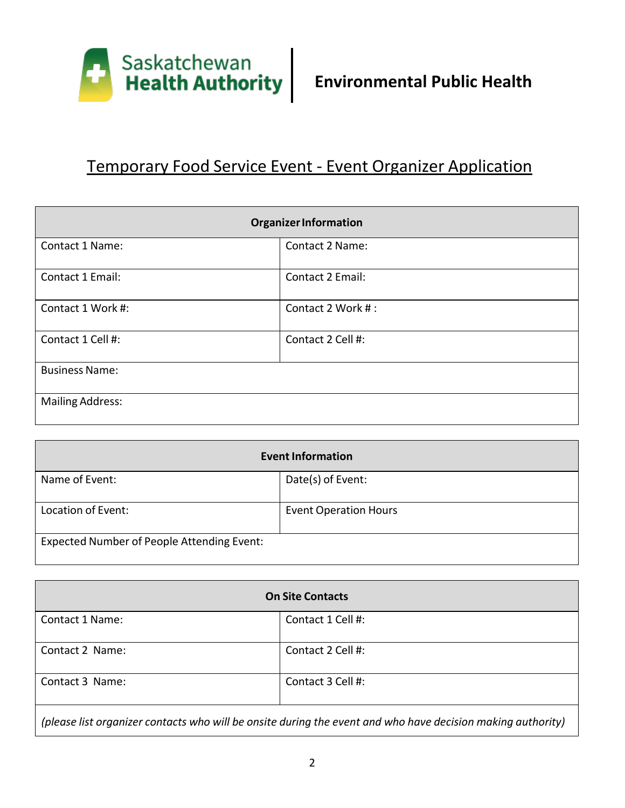

| <b>Organizer Information</b> |                         |  |  |
|------------------------------|-------------------------|--|--|
| Contact 1 Name:              | Contact 2 Name:         |  |  |
| Contact 1 Email:             | <b>Contact 2 Email:</b> |  |  |
| Contact 1 Work #:            | Contact 2 Work #:       |  |  |
| Contact 1 Cell #:            | Contact 2 Cell #:       |  |  |
| <b>Business Name:</b>        |                         |  |  |
| <b>Mailing Address:</b>      |                         |  |  |

| <b>Event Information</b>                   |                              |  |  |
|--------------------------------------------|------------------------------|--|--|
| Name of Event:                             | Date(s) of Event:            |  |  |
| Location of Event:                         | <b>Event Operation Hours</b> |  |  |
| Expected Number of People Attending Event: |                              |  |  |

| <b>On Site Contacts</b>                                                                                     |                   |  |  |
|-------------------------------------------------------------------------------------------------------------|-------------------|--|--|
| Contact 1 Name:                                                                                             | Contact 1 Cell #: |  |  |
| Contact 2 Name:                                                                                             | Contact 2 Cell #: |  |  |
| Contact 3 Name:                                                                                             | Contact 3 Cell #: |  |  |
| (please list organizer contacts who will be onsite during the event and who have decision making authority) |                   |  |  |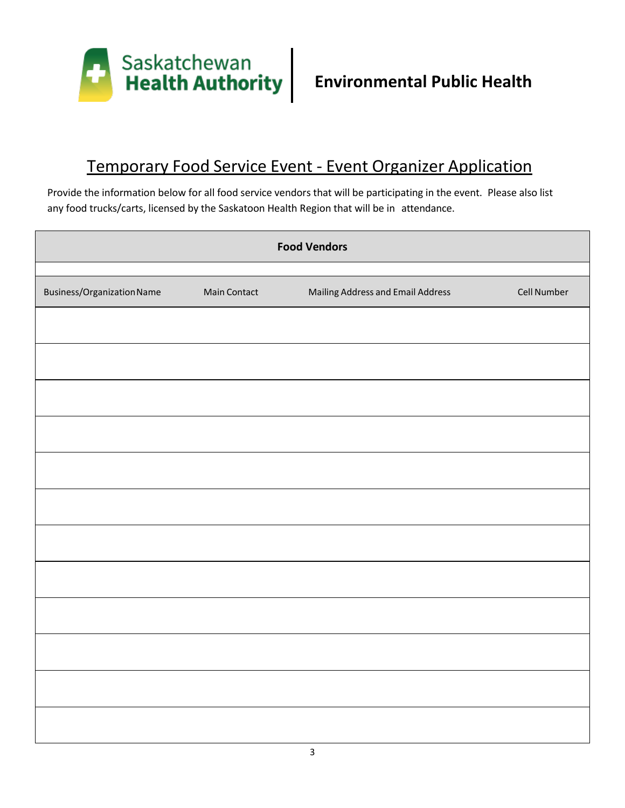

Provide the information below for all food service vendors that will be participating in the event. Please also list any food trucks/carts, licensed by the Saskatoon Health Region that will be in attendance.

| <b>Food Vendors</b>        |              |                                   |             |  |
|----------------------------|--------------|-----------------------------------|-------------|--|
| Business/Organization Name | Main Contact | Mailing Address and Email Address | Cell Number |  |
|                            |              |                                   |             |  |
|                            |              |                                   |             |  |
|                            |              |                                   |             |  |
|                            |              |                                   |             |  |
|                            |              |                                   |             |  |
|                            |              |                                   |             |  |
|                            |              |                                   |             |  |
|                            |              |                                   |             |  |
|                            |              |                                   |             |  |
|                            |              |                                   |             |  |
|                            |              |                                   |             |  |
|                            |              |                                   |             |  |
|                            |              |                                   |             |  |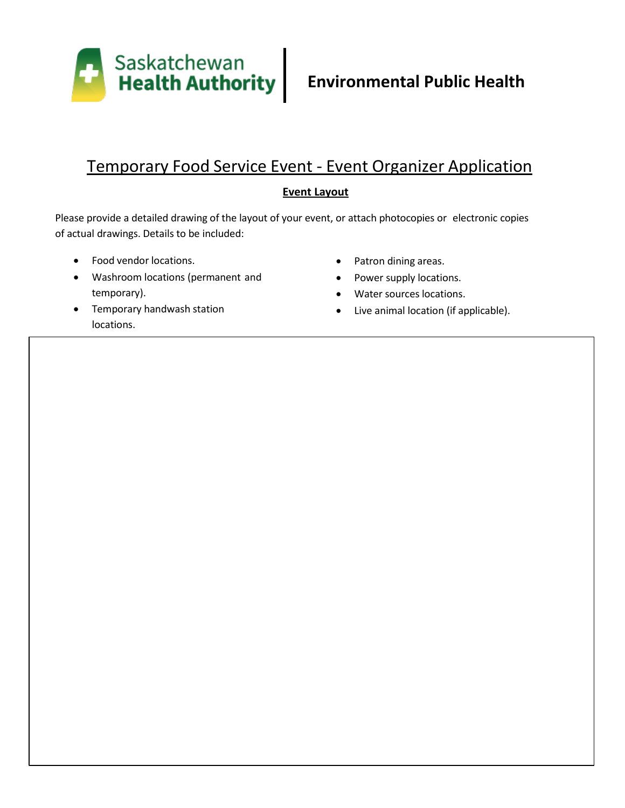

## **Event Layout**

Please provide a detailed drawing of the layout of your event, or attach photocopies or electronic copies of actual drawings. Details to be included:

- Food vendor locations.
- Washroom locations (permanent and temporary).
- Temporary handwash station locations.
- Patron dining areas.
- Power supply locations.
- Water sources locations.
- Live animal location (if applicable).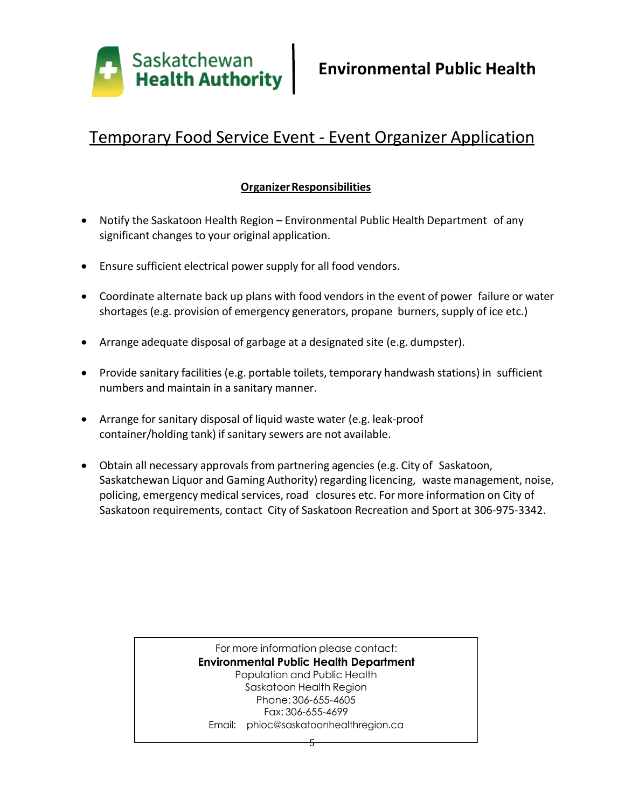

## **OrganizerResponsibilities**

- Notify the Saskatoon Health Region Environmental Public Health Department of any significant changes to your original application.
- Ensure sufficient electrical power supply for all food vendors.
- Coordinate alternate back up plans with food vendors in the event of power failure or water shortages (e.g. provision of emergency generators, propane burners, supply of ice etc.)
- Arrange adequate disposal of garbage at a designated site (e.g. dumpster).
- Provide sanitary facilities (e.g. portable toilets, temporary handwash stations) in sufficient numbers and maintain in a sanitary manner.
- Arrange for sanitary disposal of liquid waste water (e.g. leak-proof container/holding tank) if sanitary sewers are not available.
- Obtain all necessary approvals from partnering agencies (e.g. City of Saskatoon, Saskatchewan Liquor and Gaming Authority) regarding licencing, waste management, noise, policing, emergency medical services, road closures etc. For more information on City of Saskatoon requirements, contact City of Saskatoon Recreation and Sport at 306-975-3342.

#### For more information please contact: **Environmental Public Health Department** Population and Public Health Saskatoon Health Region Phone: 306-655-4605 Fax: 306-655-4699 Email: [phioc@saskatoonhealthregion.ca](mailto:phioc@saskatoonhealthregion.ca)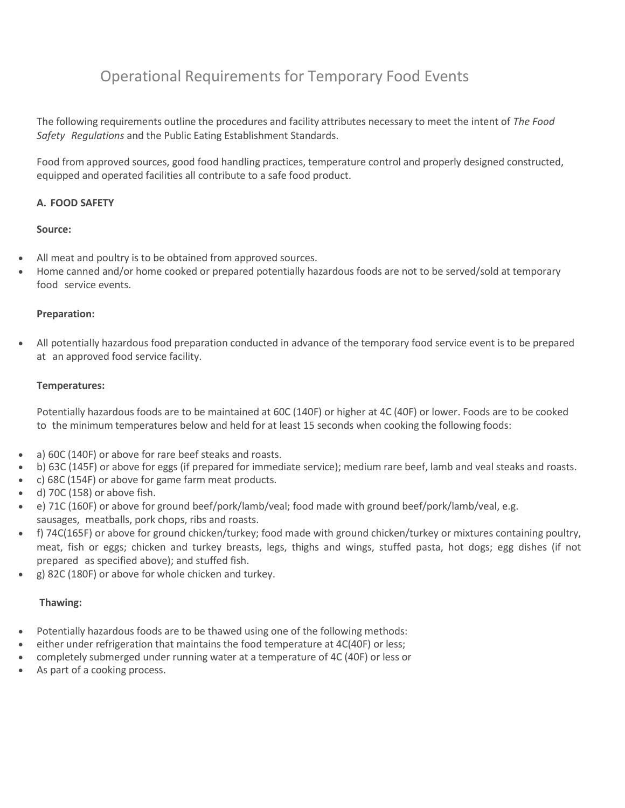The following requirements outline the procedures and facility attributes necessary to meet the intent of *The Food Safety Regulations* and the Public Eating Establishment Standards.

Food from approved sources, good food handling practices, temperature control and properly designed constructed, equipped and operated facilities all contribute to a safe food product.

#### **A. FOOD SAFETY**

#### **Source:**

- All meat and poultry is to be obtained from approved sources.
- Home canned and/or home cooked or prepared potentially hazardous foods are not to be served/sold at temporary food service events.

#### **Preparation:**

 All potentially hazardous food preparation conducted in advance of the temporary food service event is to be prepared at an approved food service facility.

#### **Temperatures:**

Potentially hazardous foods are to be maintained at 60C (140F) or higher at 4C (40F) or lower. Foods are to be cooked to the minimum temperatures below and held for at least 15 seconds when cooking the following foods:

- a) 60C (140F) or above for rare beef steaks and roasts.
- b) 63C (145F) or above for eggs (if prepared for immediate service); medium rare beef, lamb and veal steaks and roasts.
- c) 68C (154F) or above for game farm meat products.
- d) 70C (158) or above fish.
- e) 71C (160F) or above for ground beef/pork/lamb/veal; food made with ground beef/pork/lamb/veal, e.g. sausages, meatballs, pork chops, ribs and roasts.
- f) 74C(165F) or above for ground chicken/turkey; food made with ground chicken/turkey or mixtures containing poultry, meat, fish or eggs; chicken and turkey breasts, legs, thighs and wings, stuffed pasta, hot dogs; egg dishes (if not prepared as specified above); and stuffed fish.
- g) 82C (180F) or above for whole chicken and turkey.

#### **Thawing:**

- Potentially hazardous foods are to be thawed using one of the following methods:
- either under refrigeration that maintains the food temperature at 4C(40F) or less;
- completely submerged under running water at a temperature of 4C (40F) or less or
- As part of a cooking process.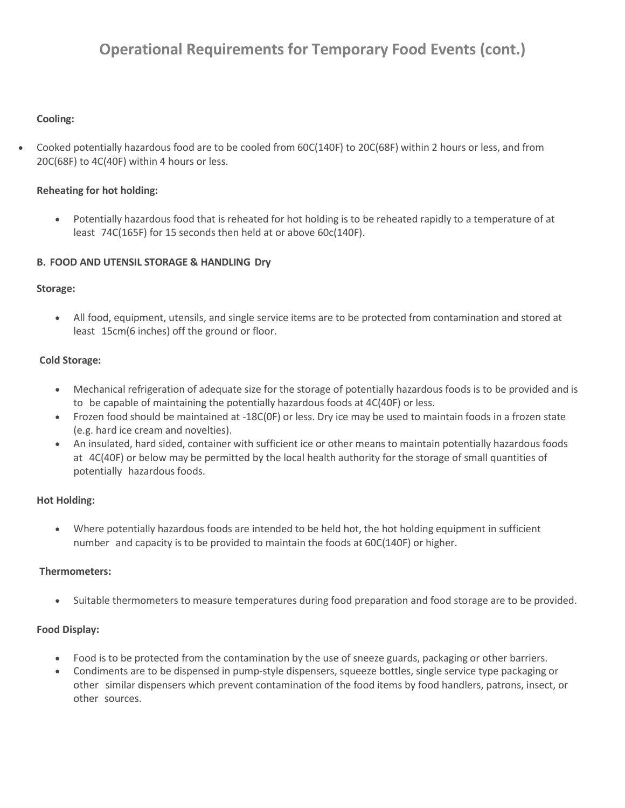### **Cooling:**

 Cooked potentially hazardous food are to be cooled from 60C(140F) to 20C(68F) within 2 hours or less, and from 20C(68F) to 4C(40F) within 4 hours or less.

#### **Reheating for hot holding:**

 Potentially hazardous food that is reheated for hot holding is to be reheated rapidly to a temperature of at least 74C(165F) for 15 seconds then held at or above 60c(140F).

#### **B. FOOD AND UTENSIL STORAGE & HANDLING Dry**

#### **Storage:**

 All food, equipment, utensils, and single service items are to be protected from contamination and stored at least 15cm(6 inches) off the ground or floor.

#### **Cold Storage:**

- Mechanical refrigeration of adequate size for the storage of potentially hazardous foods is to be provided and is to be capable of maintaining the potentially hazardous foods at 4C(40F) or less.
- Frozen food should be maintained at -18C(0F) or less. Dry ice may be used to maintain foods in a frozen state (e.g. hard ice cream and novelties).
- An insulated, hard sided, container with sufficient ice or other means to maintain potentially hazardous foods at 4C(40F) or below may be permitted by the local health authority for the storage of small quantities of potentially hazardous foods.

#### **Hot Holding:**

 Where potentially hazardous foods are intended to be held hot, the hot holding equipment in sufficient number and capacity is to be provided to maintain the foods at 60C(140F) or higher.

#### **Thermometers:**

Suitable thermometers to measure temperatures during food preparation and food storage are to be provided.

#### **Food Display:**

- Food is to be protected from the contamination by the use of sneeze guards, packaging or other barriers.
- Condiments are to be dispensed in pump-style dispensers, squeeze bottles, single service type packaging or other similar dispensers which prevent contamination of the food items by food handlers, patrons, insect, or other sources.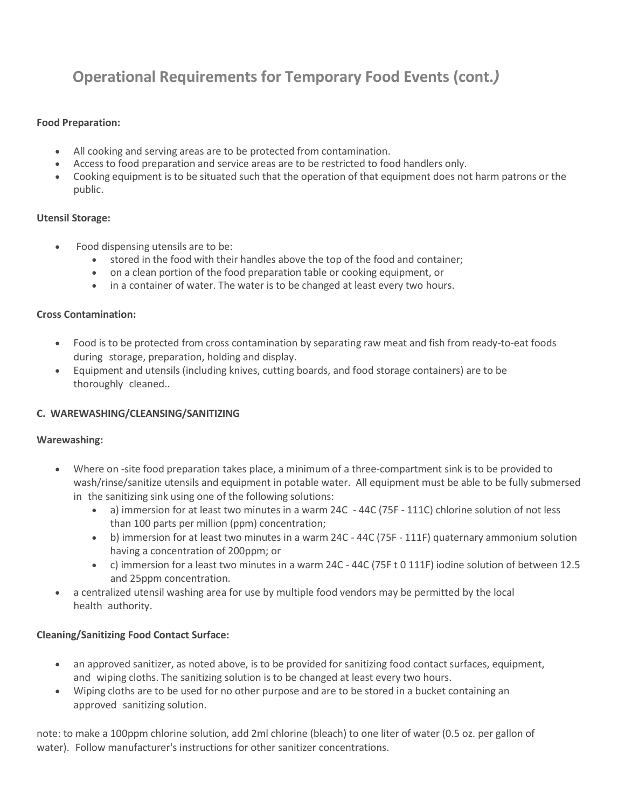#### **Food Preparation:**

- All cooking and serving areas are to be protected from contamination.
- Access to food preparation and service areas are to be restricted to food handlers only.
- Cooking equipment is to be situated such that the operation of that equipment does not harm patrons or the public.

#### **Utensil Storage:**

- Food dispensing utensils are to be:
	- stored in the food with their handles above the top of the food and container;
	- on a clean portion of the food preparation table or cooking equipment, or
	- in a container of water. The water is to be changed at least every two hours.

#### **Cross Contamination:**

- Food is to be protected from cross contamination by separating raw meat and fish from ready-to-eat foods during storage, preparation, holding and display.
- Equipment and utensils (including knives, cutting boards, and food storage containers) are to be thoroughly cleaned..

### **C. WAREWASHING/CLEANSING/SANITIZING**

#### **Warewashing:**

- Where on -site food preparation takes place, a minimum of a three-compartment sink is to be provided to wash/rinse/sanitize utensils and equipment in potable water. All equipment must be able to be fully submersed in the sanitizing sink using one of the following solutions:
	- a) immersion for at least two minutes in a warm 24C 44C (75F 111C) chlorine solution of not less than 100 parts per million (ppm) concentration;
	- b) immersion for at least two minutes in a warm 24C 44C (75F 111F) quaternary ammonium solution having a concentration of 200ppm; or
	- c) immersion for a least two minutes in a warm 24C 44C (75F t 0 111F) iodine solution of between 12.5 and 25ppm concentration.
- a centralized utensil washing area for use by multiple food vendors may be permitted by the local health authority.

#### **Cleaning/Sanitizing Food Contact Surface:**

- an approved sanitizer, as noted above, is to be provided for sanitizing food contact surfaces, equipment, and wiping cloths. The sanitizing solution is to be changed at least every two hours.
- Wiping cloths are to be used for no other purpose and are to be stored in a bucket containing an approved sanitizing solution.

note: to make a 100ppm chlorine solution, add 2ml chlorine (bleach) to one liter of water (0.5 oz. per gallon of water). Follow manufacturer's instructions for other sanitizer concentrations.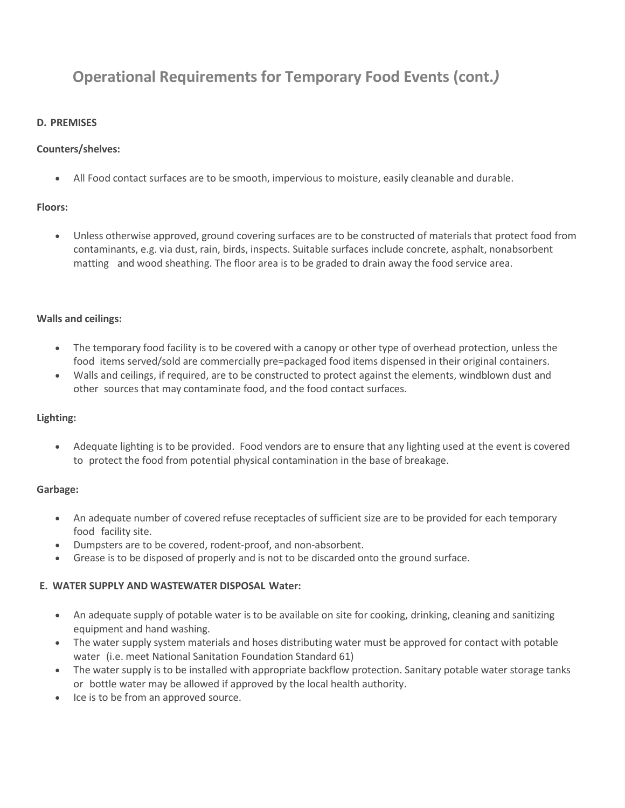### **D. PREMISES**

### **Counters/shelves:**

All Food contact surfaces are to be smooth, impervious to moisture, easily cleanable and durable.

### **Floors:**

 Unless otherwise approved, ground covering surfaces are to be constructed of materials that protect food from contaminants, e.g. via dust, rain, birds, inspects. Suitable surfaces include concrete, asphalt, nonabsorbent matting and wood sheathing. The floor area is to be graded to drain away the food service area.

#### **Walls and ceilings:**

- The temporary food facility is to be covered with a canopy or other type of overhead protection, unless the food items served/sold are commercially pre=packaged food items dispensed in their original containers.
- Walls and ceilings, if required, are to be constructed to protect against the elements, windblown dust and other sources that may contaminate food, and the food contact surfaces.

### **Lighting:**

 Adequate lighting is to be provided. Food vendors are to ensure that any lighting used at the event is covered to protect the food from potential physical contamination in the base of breakage.

### **Garbage:**

- An adequate number of covered refuse receptacles of sufficient size are to be provided for each temporary food facility site.
- Dumpsters are to be covered, rodent-proof, and non-absorbent.
- Grease is to be disposed of properly and is not to be discarded onto the ground surface.

### **E. WATER SUPPLY AND WASTEWATER DISPOSAL Water:**

- An adequate supply of potable water is to be available on site for cooking, drinking, cleaning and sanitizing equipment and hand washing.
- The water supply system materials and hoses distributing water must be approved for contact with potable water (i.e. meet National Sanitation Foundation Standard 61)
- The water supply is to be installed with appropriate backflow protection. Sanitary potable water storage tanks or bottle water may be allowed if approved by the local health authority.
- Ice is to be from an approved source.